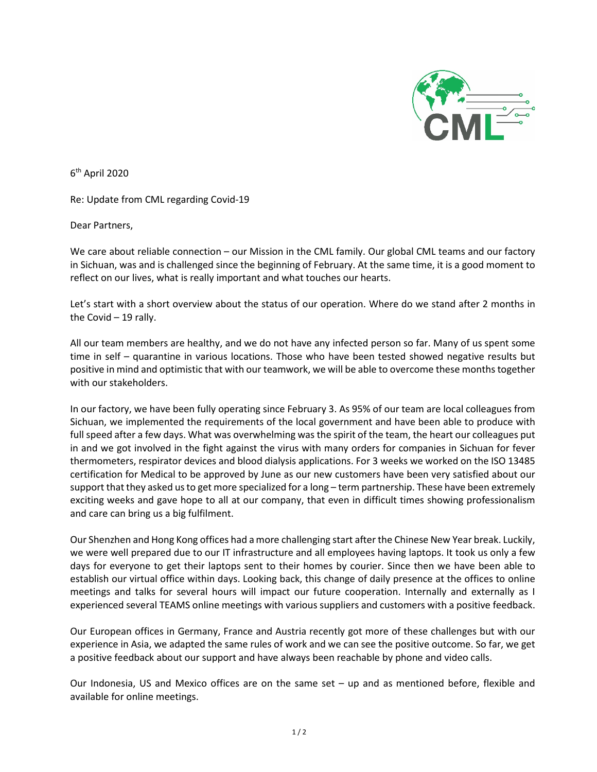

6th April 2020

Re: Update from CML regarding Covid-19

Dear Partners,

We care about reliable connection – our Mission in the CML family. Our global CML teams and our factory in Sichuan, was and is challenged since the beginning of February. At the same time, it is a good moment to reflect on our lives, what is really important and what touches our hearts.

Let's start with a short overview about the status of our operation. Where do we stand after 2 months in the Covid – 19 rally.

All our team members are healthy, and we do not have any infected person so far. Many of us spent some time in self – quarantine in various locations. Those who have been tested showed negative results but positive in mind and optimistic that with our teamwork, we will be able to overcome these months together with our stakeholders.

In our factory, we have been fully operating since February 3. As 95% of our team are local colleagues from Sichuan, we implemented the requirements of the local government and have been able to produce with full speed after a few days. What was overwhelming was the spirit of the team, the heart our colleagues put in and we got involved in the fight against the virus with many orders for companies in Sichuan for fever thermometers, respirator devices and blood dialysis applications. For 3 weeks we worked on the ISO 13485 certification for Medical to be approved by June as our new customers have been very satisfied about our support that they asked us to get more specialized for a long – term partnership. These have been extremely exciting weeks and gave hope to all at our company, that even in difficult times showing professionalism and care can bring us a big fulfilment.

Our Shenzhen and Hong Kong offices had a more challenging start after the Chinese New Year break. Luckily, we were well prepared due to our IT infrastructure and all employees having laptops. It took us only a few days for everyone to get their laptops sent to their homes by courier. Since then we have been able to establish our virtual office within days. Looking back, this change of daily presence at the offices to online meetings and talks for several hours will impact our future cooperation. Internally and externally as I experienced several TEAMS online meetings with various suppliers and customers with a positive feedback.

Our European offices in Germany, France and Austria recently got more of these challenges but with our experience in Asia, we adapted the same rules of work and we can see the positive outcome. So far, we get a positive feedback about our support and have always been reachable by phone and video calls.

Our Indonesia, US and Mexico offices are on the same set – up and as mentioned before, flexible and available for online meetings.